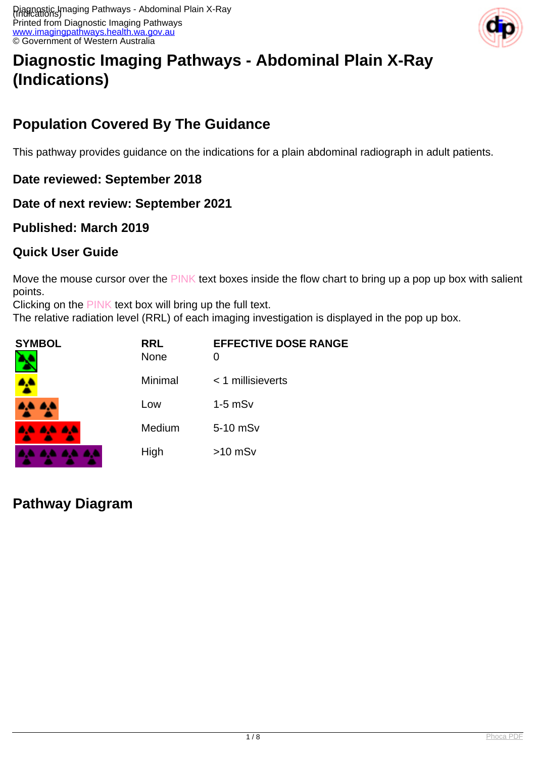

# **Diagnostic Imaging Pathways - Abdominal Plain X-Ray (Indications)**

# **Population Covered By The Guidance**

This pathway provides guidance on the indications for a plain abdominal radiograph in adult patients.

### **Date reviewed: September 2018**

#### **Date of next review: September 2021**

#### **Published: March 2019**

### **Quick User Guide**

Move the mouse cursor over the PINK text boxes inside the flow chart to bring up a pop up box with salient points.

Clicking on the PINK text box will bring up the full text.

The relative radiation level (RRL) of each imaging investigation is displayed in the pop up box.

| <b>SYMBOL</b><br>B | <b>RRL</b><br><b>None</b> | <b>EFFECTIVE DOSE RANGE</b><br>O |
|--------------------|---------------------------|----------------------------------|
| $\mathbf{A}$       | Minimal                   | $<$ 1 millisieverts              |
| 4A 4A              | Low                       | $1-5$ mS $v$                     |
| <b>AA AA AA</b>    | Medium                    | 5-10 mSv                         |
| .                  | High                      | $>10$ mSv                        |

### **Pathway Diagram**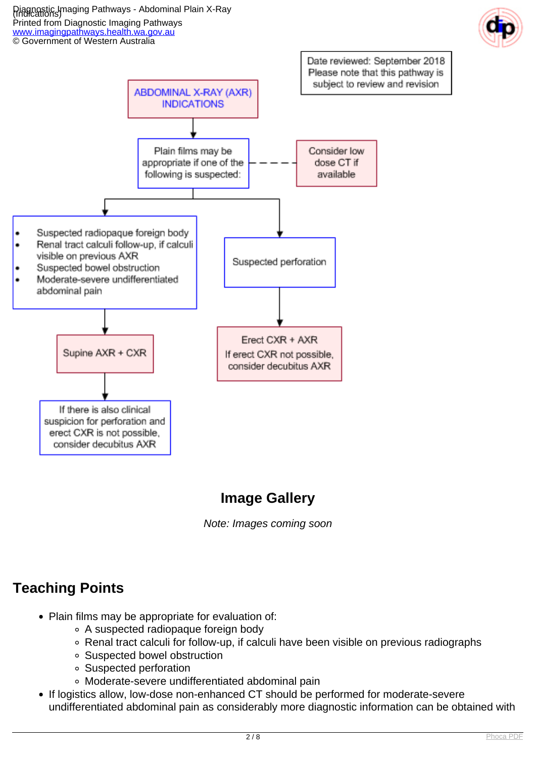#### Diagnostic Imaging Pathways - Abdominal Plain X-Ray (Indications) Printed from Diagnostic Imaging Pathways [www.imagingpathways.health.wa.gov.au](http://www.imagingpathways.health.wa.gov.au/) © Government of Western Australia





### **Image Gallery**

Note: Images coming soon

### **Teaching Points**

- Plain films may be appropriate for evaluation of:
	- A suspected radiopaque foreign body
	- Renal tract calculi for follow-up, if calculi have been visible on previous radiographs
	- Suspected bowel obstruction
	- Suspected perforation
	- Moderate-severe undifferentiated abdominal pain
- If logistics allow, low-dose non-enhanced CT should be performed for moderate-severe undifferentiated abdominal pain as considerably more diagnostic information can be obtained with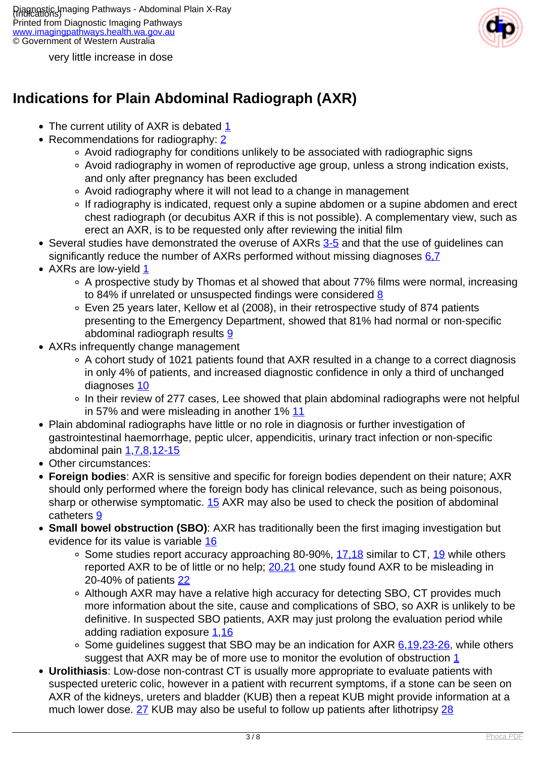

very little increase in dose

### **Indications for Plain Abdominal Radiograph (AXR)**

- The current utility of AXR is debated  $1$
- Recommendations for radiography: [2](index.php?option=com_content&view=article&id=60&tab=references#2)
	- Avoid radiography for conditions unlikely to be associated with radiographic signs
	- Avoid radiography in women of reproductive age group, unless a strong indication exists, and only after pregnancy has been excluded
	- Avoid radiography where it will not lead to a change in management
	- If radiography is indicated, request only a supine abdomen or a supine abdomen and erect chest radiograph (or decubitus AXR if this is not possible). A complementary view, such as erect an AXR, is to be requested only after reviewing the initial film
- Several studies have demonstrated the overuse of AXRs [3-5](index.php?option=com_content&view=article&id=60&tab=references#3) and that the use of guidelines can significantly reduce the number of AXRs performed without missing diagnoses  $6.7$
- AXRs are low-yield [1](index.php?option=com_content&view=article&id=60&tab=references#1)
	- A prospective study by Thomas et al showed that about 77% films were normal, increasing to 84% if unrelated or unsuspected findings were considered [8](index.php?option=com_content&view=article&id=60&tab=references#8)
	- Even 25 years later, Kellow et al (2008), in their retrospective study of 874 patients presenting to the Emergency Department, showed that 81% had normal or non-specific abdominal radiograph results [9](index.php?option=com_content&view=article&id=60&tab=references#9)
- AXRs infrequently change management
	- A cohort study of 1021 patients found that AXR resulted in a change to a correct diagnosis in only 4% of patients, and increased diagnostic confidence in only a third of unchanged diagnoses [10](index.php?option=com_content&view=article&id=60&tab=references#10)
	- In their review of 277 cases, Lee showed that plain abdominal radiographs were not helpful in 57% and were misleading in another 1% [11](index.php?option=com_content&view=article&id=60&tab=references#11)
- Plain abdominal radiographs have little or no role in diagnosis or further investigation of gastrointestinal haemorrhage, peptic ulcer, appendicitis, urinary tract infection or non-specific abdominal pain  $1,7,8,12-15$  $1,7,8,12-15$  $1,7,8,12-15$
- Other circumstances:
- **Foreign bodies**: AXR is sensitive and specific for foreign bodies dependent on their nature; AXR should only performed where the foreign body has clinical relevance, such as being poisonous, sharp or otherwise symptomatic. [15](index.php?option=com_content&view=article&id=60&tab=references#15) AXR may also be used to check the position of abdominal catheters [9](index.php?option=com_content&view=article&id=60&tab=references#9)
- **Small bowel obstruction (SBO)**: AXR has traditionally been the first imaging investigation but evidence for its value is variable [16](index.php?option=com_content&view=article&id=60&tab=references#16)
	- $\circ$  Some studies report accuracy approaching 80-90%, [17,18](index.php?option=com_content&view=article&id=60&tab=references#17) similar to CT, [19](index.php?option=com_content&view=article&id=60&tab=references#19) while others reported AXR to be of little or no help; [20,21](index.php?option=com_content&view=article&id=60&tab=references#20) one study found AXR to be misleading in 20-40% of patients [22](index.php?option=com_content&view=article&id=60&tab=references#22)
	- Although AXR may have a relative high accuracy for detecting SBO, CT provides much more information about the site, cause and complications of SBO, so AXR is unlikely to be definitive. In suspected SBO patients, AXR may just prolong the evaluation period while adding radiation exposure [1](index.php?option=com_content&view=article&id=60&tab=references#1),[16](index.php?option=com_content&view=article&id=60&tab=references#16)
	- $\circ$  Some guidelines suggest that SBO may be an indication for AXR [6](index.php?option=com_content&view=article&id=60&tab=references#6)[,19,](index.php?option=com_content&view=article&id=60&tab=references#19)[23-26,](index.php?option=com_content&view=article&id=60&tab=references#23) while others suggest that AXR may be of more use to monitor the evolution of obstruction [1](index.php?option=com_content&view=article&id=60&tab=references#1)
- **Urolithiasis**: Low-dose non-contrast CT is usually more appropriate to evaluate patients with suspected ureteric colic, however in a patient with recurrent symptoms, if a stone can be seen on AXR of the kidneys, ureters and bladder (KUB) then a repeat KUB might provide information at a much lower dose. [27](index.php?option=com_content&view=article&id=60&tab=references#27) KUB may also be useful to follow up patients after lithotripsy [28](index.php?option=com_content&view=article&id=60&tab=references#28)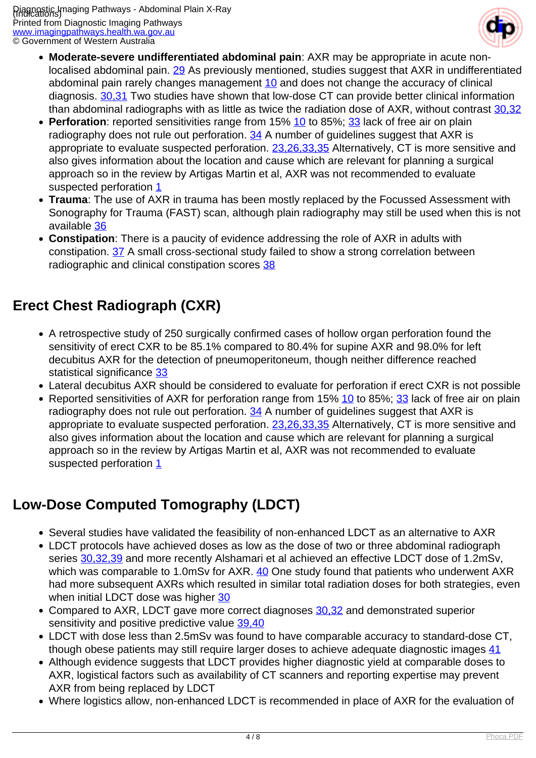

- **Moderate-severe undifferentiated abdominal pain**: AXR may be appropriate in acute nonlocalised abdominal pain. [29](index.php?option=com_content&view=article&id=60&tab=references#29) As previously mentioned, studies suggest that AXR in undifferentiated abdominal pain rarely changes management  $10$  and does not change the accuracy of clinical diagnosis. [30,31](index.php?option=com_content&view=article&id=60&tab=references#30) Two studies have shown that low-dose CT can provide better clinical information than abdominal radiographs with as little as twice the radiation dose of AXR, without contrast [30,32](index.php?option=com_content&view=article&id=60&tab=references#30)
- **Perforation**: reported sensitivities range from 15% [10](index.php?option=com_content&view=article&id=60&tab=references#10) to 85%; [33](index.php?option=com_content&view=article&id=60&tab=references#33) lack of free air on plain radiography does not rule out perforation.  $34$  A number of guidelines suggest that AXR is appropriate to evaluate suspected perforation. [23,26,33,35](index.php?option=com_content&view=article&id=60&tab=references#23) Alternatively, CT is more sensitive and also gives information about the location and cause which are relevant for planning a surgical approach so in the review by Artigas Martin et al, AXR was not recommended to evaluate suspected perforation [1](index.php?option=com_content&view=article&id=60&tab=references#1)
- **Trauma**: The use of AXR in trauma has been mostly replaced by the Focussed Assessment with Sonography for Trauma (FAST) scan, although plain radiography may still be used when this is not available [36](index.php?option=com_content&view=article&id=60&tab=references#36)
- **Constipation**: There is a paucity of evidence addressing the role of AXR in adults with constipation. [37](index.php?option=com_content&view=article&id=60&tab=references#37) A small cross-sectional study failed to show a strong correlation between radiographic and clinical constipation scores [38](index.php?option=com_content&view=article&id=60&tab=references#38)

## **Erect Chest Radiograph (CXR)**

- A retrospective study of 250 surgically confirmed cases of hollow organ perforation found the sensitivity of erect CXR to be 85.1% compared to 80.4% for supine AXR and 98.0% for left decubitus AXR for the detection of pneumoperitoneum, though neither difference reached statistical significance [33](index.php?option=com_content&view=article&id=60&tab=references#33)
- Lateral decubitus AXR should be considered to evaluate for perforation if erect CXR is not possible
- Reported sensitivities of AXR for perforation range from 15% [10](index.php?option=com_content&view=article&id=60&tab=references#10) to 85%; [33](index.php?option=com_content&view=article&id=60&tab=references#33) lack of free air on plain radiography does not rule out perforation.  $34$  A number of guidelines suggest that AXR is appropriate to evaluate suspected perforation. [23,26,33,35](index.php?option=com_content&view=article&id=60&tab=references#23) Alternatively, CT is more sensitive and also gives information about the location and cause which are relevant for planning a surgical approach so in the review by Artigas Martin et al, AXR was not recommended to evaluate suspected perforation [1](index.php?option=com_content&view=article&id=60&tab=references#1)

# **Low-Dose Computed Tomography (LDCT)**

- Several studies have validated the feasibility of non-enhanced LDCT as an alternative to AXR
- LDCT protocols have achieved doses as low as the dose of two or three abdominal radiograph series [30,32,39](index.php?option=com_content&view=article&id=60&tab=references#30) and more recently Alshamari et al achieved an effective LDCT dose of 1.2mSv, which was comparable to 1.0mSv for AXR. [40](index.php?option=com_content&view=article&id=60&tab=references#40) One study found that patients who underwent AXR had more subsequent AXRs which resulted in similar total radiation doses for both strategies, even when initial LDCT dose was higher [30](index.php?option=com_content&view=article&id=60&tab=references#30)
- Compared to AXR, LDCT gave more correct diagnoses [30,32](index.php?option=com_content&view=article&id=60&tab=references#30) and demonstrated superior sensitivity and positive predictive value [39,40](index.php?option=com_content&view=article&id=60&tab=references#39)
- LDCT with dose less than 2.5mSv was found to have comparable accuracy to standard-dose CT, though obese patients may still require larger doses to achieve adequate diagnostic images [41](index.php?option=com_content&view=article&id=60&tab=references#41)
- Although evidence suggests that LDCT provides higher diagnostic yield at comparable doses to AXR, logistical factors such as availability of CT scanners and reporting expertise may prevent AXR from being replaced by LDCT
- Where logistics allow, non-enhanced LDCT is recommended in place of AXR for the evaluation of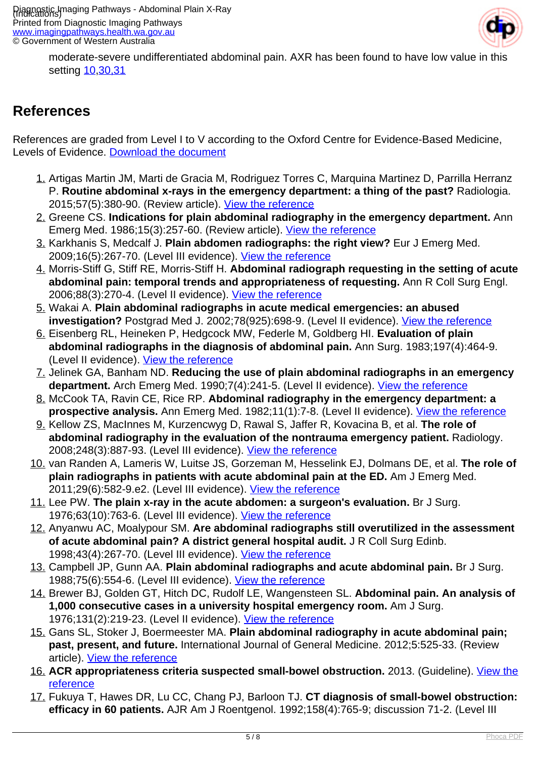

moderate-severe undifferentiated abdominal pain. AXR has been found to have low value in this setting [10](index.php?option=com_content&view=article&id=60&tab=references#10),[30,31](index.php?option=com_content&view=article&id=60&tab=references#30)

### **References**

References are graded from Level I to V according to the Oxford Centre for Evidence-Based Medicine, Levels of Evidence. [Download the document](http://www.cebm.net/wp-content/uploads/2014/06/CEBM-Levels-of-Evidence-2.1.pdf)

- 1. Artigas Martin JM, Marti de Gracia M, Rodriguez Torres C, Marquina Martinez D, Parrilla Herranz P. **Routine abdominal x-rays in the emergency department: a thing of the past?** Radiologia. 2015;57(5):380-90. (Review article). [View the reference](http://www.elsevier.es/en-revista-radiologia-english-edition--419-articulo-routine-abdominal-x-rays-in-emergency-S2173510715000543#bib0300)
- 2. Greene CS. **Indications for plain abdominal radiography in the emergency department.** Ann Emerg Med. 1986;15(3):257-60. (Review article). [View the reference](https://www.ncbi.nlm.nih.gov/pubmed/3511788)
- 3. Karkhanis S, Medcalf J. **Plain abdomen radiographs: the right view?** Eur J Emerg Med. 2009;16(5):267-70. (Level III evidence). [View the reference](https://www.ncbi.nlm.nih.gov/pubmed/19318961)
- 4. Morris-Stiff G, Stiff RE, Morris-Stiff H. **Abdominal radiograph requesting in the setting of acute abdominal pain: temporal trends and appropriateness of requesting.** Ann R Coll Surg Engl. 2006;88(3):270-4. (Level II evidence). [View the reference](http://www.ncbi.nlm.nih.gov/pmc/articles/PMC1963673/)
- 5. Wakai A. **Plain abdominal radiographs in acute medical emergencies: an abused investigation?** Postgrad Med J. 2002;78(925):698-9. (Level II evidence). [View the reference](http://www.ncbi.nlm.nih.gov/pmc/articles/PMC1742551/)
- 6. Eisenberg RL, Heineken P, Hedgcock MW, Federle M, Goldberg HI. **Evaluation of plain abdominal radiographs in the diagnosis of abdominal pain.** Ann Surg. 1983;197(4):464-9. (Level II evidence). [View the reference](http://www.ncbi.nlm.nih.gov/pmc/articles/PMC1352763/)
- 7. Jelinek GA, Banham ND. **Reducing the use of plain abdominal radiographs in an emergency** department. Arch Emerg Med. 1990;7(4):241-5. (Level II evidence). [View the reference](http://www.ncbi.nlm.nih.gov/pmc/articles/PMC1285718/)
- 8. McCook TA, Ravin CE, Rice RP. **Abdominal radiography in the emergency department: a prospective analysis.** Ann Emerg Med. 1982;11(1):7-8. (Level II evidence). [View the reference](https://www.ncbi.nlm.nih.gov/pubmed/6976766)
- 9. Kellow ZS, MacInnes M, Kurzencwyg D, Rawal S, Jaffer R, Kovacina B, et al. **The role of abdominal radiography in the evaluation of the nontrauma emergency patient.** Radiology. 2008;248(3):887-93. (Level III evidence). [View the reference](https://www.ncbi.nlm.nih.gov/pubmed/18710981)
- 10. van Randen A, Lameris W, Luitse JS, Gorzeman M, Hesselink EJ, Dolmans DE, et al. **The role of plain radiographs in patients with acute abdominal pain at the ED.** Am J Emerg Med. 2011;29(6):582-9.e2. (Level III evidence). [View the reference](https://www.ncbi.nlm.nih.gov/pubmed/20825832)
- 11. Lee PW. **The plain x-ray in the acute abdomen: a surgeon's evaluation.** Br J Surg. 1976:63(10):763-6. (Level III evidence). [View the reference](https://www.ncbi.nlm.nih.gov/pubmed/990697)
- 12. Anyanwu AC, Moalypour SM. **Are abdominal radiographs still overutilized in the assessment of acute abdominal pain? A district general hospital audit.** J R Coll Surg Edinb. 1998;43(4):267-70. (Level III evidence). [View the reference](https://www.ncbi.nlm.nih.gov/pubmed/9735654)
- 13. Campbell JP, Gunn AA. **Plain abdominal radiographs and acute abdominal pain.** Br J Surg. 1988;75(6):554-6. (Level III evidence). [View the reference](https://www.ncbi.nlm.nih.gov/pubmed/3395821)
- 14. Brewer BJ, Golden GT, Hitch DC, Rudolf LE, Wangensteen SL. **Abdominal pain. An analysis of 1,000 consecutive cases in a university hospital emergency room.** Am J Surg. 1976;131(2):219-23. (Level II evidence). [View the reference](https://www.ncbi.nlm.nih.gov/pubmed/1251963)
- 15. Gans SL, Stoker J, Boermeester MA. **Plain abdominal radiography in acute abdominal pain; past, present, and future.** International Journal of General Medicine. 2012;5:525-33. (Review article). [View the reference](http://www.ncbi.nlm.nih.gov/pmc/articles/PMC3396109/)
- 16. **ACR appropriateness criteria suspected small-bowel obstruction.** 2013. (Guideline). [View the](https://www.acr.org/Clinical-Resources/ACR-Appropriateness-Criteria) [reference](https://www.acr.org/Clinical-Resources/ACR-Appropriateness-Criteria)
- 17. Fukuya T, Hawes DR, Lu CC, Chang PJ, Barloon TJ. **CT diagnosis of small-bowel obstruction: efficacy in 60 patients.** AJR Am J Roentgenol. 1992;158(4):765-9; discussion 71-2. (Level III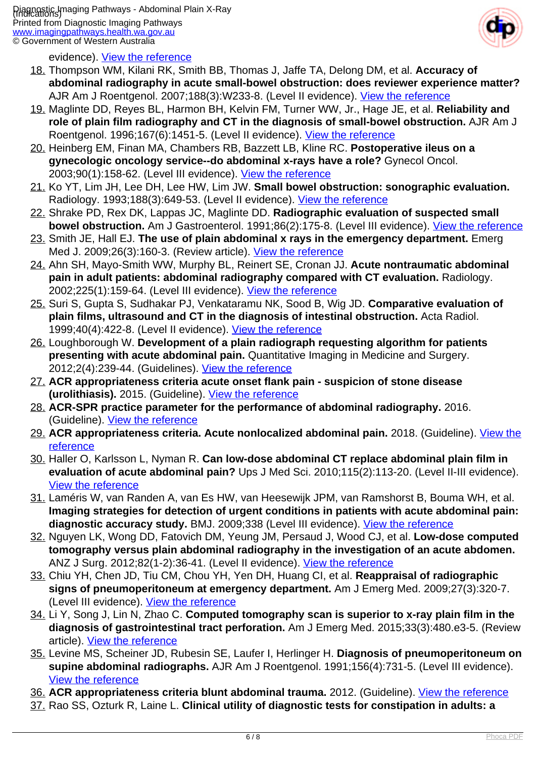

evidence). [View the reference](https://www.ncbi.nlm.nih.gov/pubmed/1546591)

- 18. Thompson WM, Kilani RK, Smith BB, Thomas J, Jaffe TA, Delong DM, et al. **Accuracy of abdominal radiography in acute small-bowel obstruction: does reviewer experience matter?** AJR Am J Roentgenol. 2007;188(3):W233-8. (Level II evidence). [View the reference](https://www.ncbi.nlm.nih.gov/pubmed/17312028)
- 19. Maglinte DD, Reyes BL, Harmon BH, Kelvin FM, Turner WW, Jr., Hage JE, et al. **Reliability and role of plain film radiography and CT in the diagnosis of small-bowel obstruction.** AJR Am J Roentgenol. 1996;167(6):1451-5. (Level II evidence). [View the reference](https://www.ncbi.nlm.nih.gov/pubmed/8956576)
- 20. Heinberg EM, Finan MA, Chambers RB, Bazzett LB, Kline RC. **Postoperative ileus on a gynecologic oncology service--do abdominal x-rays have a role?** Gynecol Oncol. 2003;90(1):158-62. (Level III evidence). [View the reference](https://www.ncbi.nlm.nih.gov/pubmed/12821357)
- 21. Ko YT, Lim JH, Lee DH, Lee HW, Lim JW. **Small bowel obstruction: sonographic evaluation.** Radiology. 1993;188(3):649-53. (Level II evidence). [View the reference](https://www.ncbi.nlm.nih.gov/pubmed/8351327)
- 22. Shrake PD, Rex DK, Lappas JC, Maglinte DD. **Radiographic evaluation of suspected small bowel obstruction.** Am J Gastroenterol. 1991;86(2):175-8. (Level III evidence). [View the reference](https://www.ncbi.nlm.nih.gov/pubmed/1992631)
- 23. Smith JE, Hall EJ. **The use of plain abdominal x rays in the emergency department.** Emerg Med J. 2009;26(3):160-3. (Review article). [View the reference](https://www.ncbi.nlm.nih.gov/pubmed/19234001)
- 24. Ahn SH, Mayo-Smith WW, Murphy BL, Reinert SE, Cronan JJ. **Acute nontraumatic abdominal pain in adult patients: abdominal radiography compared with CT evaluation.** Radiology. 2002;225(1):159-64. (Level III evidence). [View the reference](https://www.ncbi.nlm.nih.gov/pubmed/12355000)
- 25. Suri S, Gupta S, Sudhakar PJ, Venkataramu NK, Sood B, Wig JD. **Comparative evaluation of plain films, ultrasound and CT in the diagnosis of intestinal obstruction.** Acta Radiol. 1999;40(4):422-8. (Level II evidence). [View the reference](https://www.ncbi.nlm.nih.gov/pubmed/10394872)
- 26. Loughborough W. **Development of a plain radiograph requesting algorithm for patients presenting with acute abdominal pain.** Quantitative Imaging in Medicine and Surgery. 2012;2(4):239-44. (Guidelines). [View the reference](http://www.ncbi.nlm.nih.gov/pmc/articles/PMC3533591/)
- 27. **ACR appropriateness criteria acute onset flank pain suspicion of stone disease (urolithiasis).** 2015. (Guideline). [View the reference](https://www.acr.org/Clinical-Resources/ACR-Appropriateness-Criteria)
- 28. **ACR-SPR practice parameter for the performance of abdominal radiography.** 2016. (Guideline). [View the reference](https://www.acr.org/Clinical-Resources/Practice-Parameters-and-Technical-Standards/Practice-Parameters-by-Organ-or-Body-System)
- 29. ACR appropriateness criteria. Acute nonlocalized abdominal pain. 2018. (Guideline). [View the](https://www.acr.org/Clinical-Resources/ACR-Appropriateness-Criteria) **[reference](https://www.acr.org/Clinical-Resources/ACR-Appropriateness-Criteria)**
- 30. Haller O, Karlsson L, Nyman R. **Can low-dose abdominal CT replace abdominal plain film in evaluation of acute abdominal pain?** Ups J Med Sci. 2010;115(2):113-20. (Level II-III evidence). [View the reference](http://www.ncbi.nlm.nih.gov/pmc/articles/PMC2853788/)
- 31. Laméris W, van Randen A, van Es HW, van Heesewijk JPM, van Ramshorst B, Bouma WH, et al. **Imaging strategies for detection of urgent conditions in patients with acute abdominal pain:** diagnostic accuracy study. BMJ. 2009;338 (Level III evidence). [View the reference](https://www.bmj.com/content/bmj/338/bmj.b2431.full.pdf)
- 32. Nguyen LK, Wong DD, Fatovich DM, Yeung JM, Persaud J, Wood CJ, et al. **Low-dose computed tomography versus plain abdominal radiography in the investigation of an acute abdomen.** ANZ J Surg. 2012;82(1-2):36-41. (Level II evidence). [View the reference](https://www.ncbi.nlm.nih.gov/pubmed/22507493)
- 33. Chiu YH, Chen JD, Tiu CM, Chou YH, Yen DH, Huang CI, et al. **Reappraisal of radiographic signs of pneumoperitoneum at emergency department.** Am J Emerg Med. 2009;27(3):320-7. (Level III evidence). [View the reference](https://www.ncbi.nlm.nih.gov/pubmed/19328377)
- 34. Li Y, Song J, Lin N, Zhao C. **Computed tomography scan is superior to x-ray plain film in the diagnosis of gastrointestinal tract perforation.** Am J Emerg Med. 2015;33(3):480.e3-5. (Review article). [View the reference](https://www.ncbi.nlm.nih.gov/pubmed/25239695)
- 35. Levine MS, Scheiner JD, Rubesin SE, Laufer I, Herlinger H. **Diagnosis of pneumoperitoneum on supine abdominal radiographs.** AJR Am J Roentgenol. 1991;156(4):731-5. (Level III evidence). [View the reference](https://www.ncbi.nlm.nih.gov/pubmed/2003436)
- 36. **ACR appropriateness criteria blunt abdominal trauma.** 2012. (Guideline). [View the reference](https://www.acr.org/Clinical-Resources/ACR-Appropriateness-Criteria)
- 37. Rao SS, Ozturk R, Laine L. **Clinical utility of diagnostic tests for constipation in adults: a**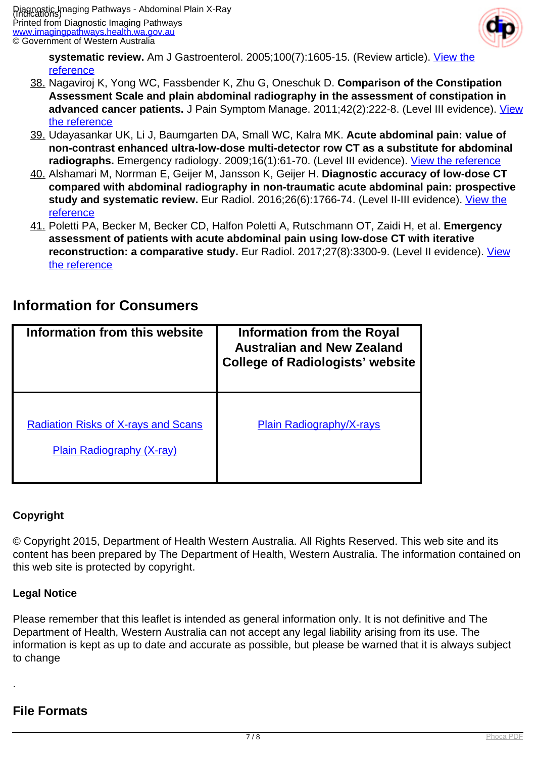

**systematic review.** Am J Gastroenterol. 2005;100(7):1605-15. (Review article). [View the](https://www.ncbi.nlm.nih.gov/pubmed/15984989) [reference](https://www.ncbi.nlm.nih.gov/pubmed/15984989)

- 38. Nagaviroj K, Yong WC, Fassbender K, Zhu G, Oneschuk D. **Comparison of the Constipation Assessment Scale and plain abdominal radiography in the assessment of constipation in** advanced cancer patients. J Pain Symptom Manage. 2011;42(2):222-8. (Level III evidence). [View](https://www.ncbi.nlm.nih.gov/pubmed/21458216) [the reference](https://www.ncbi.nlm.nih.gov/pubmed/21458216)
- 39. Udayasankar UK, Li J, Baumgarten DA, Small WC, Kalra MK. **Acute abdominal pain: value of non-contrast enhanced ultra-low-dose multi-detector row CT as a substitute for abdominal** radiographs. Emergency radiology. 2009;16(1):61-70. (Level III evidence). [View the reference](https://www.ncbi.nlm.nih.gov/pubmed/18597128)
- 40. Alshamari M, Norrman E, Geijer M, Jansson K, Geijer H. **Diagnostic accuracy of low-dose CT compared with abdominal radiography in non-traumatic acute abdominal pain: prospective** study and systematic review. Eur Radiol. 2016;26(6):1766-74. (Level II-III evidence). <u>View the</u> [reference](https://www.ncbi.nlm.nih.gov/pubmed/26385800)
- 41. Poletti PA, Becker M, Becker CD, Halfon Poletti A, Rutschmann OT, Zaidi H, et al. **Emergency assessment of patients with acute abdominal pain using low-dose CT with iterative reconstruction: a comparative study.** Eur Radiol. 2017;27(8):3300-9. (Level II evidence). [View](https://www.ncbi.nlm.nih.gov/pubmed/28083698) [the reference](https://www.ncbi.nlm.nih.gov/pubmed/28083698)

### **Information for Consumers**

| Information from this website                                                  | Information from the Royal<br><b>Australian and New Zealand</b><br><b>College of Radiologists' website</b> |
|--------------------------------------------------------------------------------|------------------------------------------------------------------------------------------------------------|
| <b>Radiation Risks of X-rays and Scans</b><br><b>Plain Radiography (X-ray)</b> | <b>Plain Radiography/X-rays</b>                                                                            |

#### **Copyright**

© Copyright 2015, Department of Health Western Australia. All Rights Reserved. This web site and its content has been prepared by The Department of Health, Western Australia. The information contained on this web site is protected by copyright.

#### **Legal Notice**

Please remember that this leaflet is intended as general information only. It is not definitive and The Department of Health, Western Australia can not accept any legal liability arising from its use. The information is kept as up to date and accurate as possible, but please be warned that it is always subject to change

#### **File Formats**

.